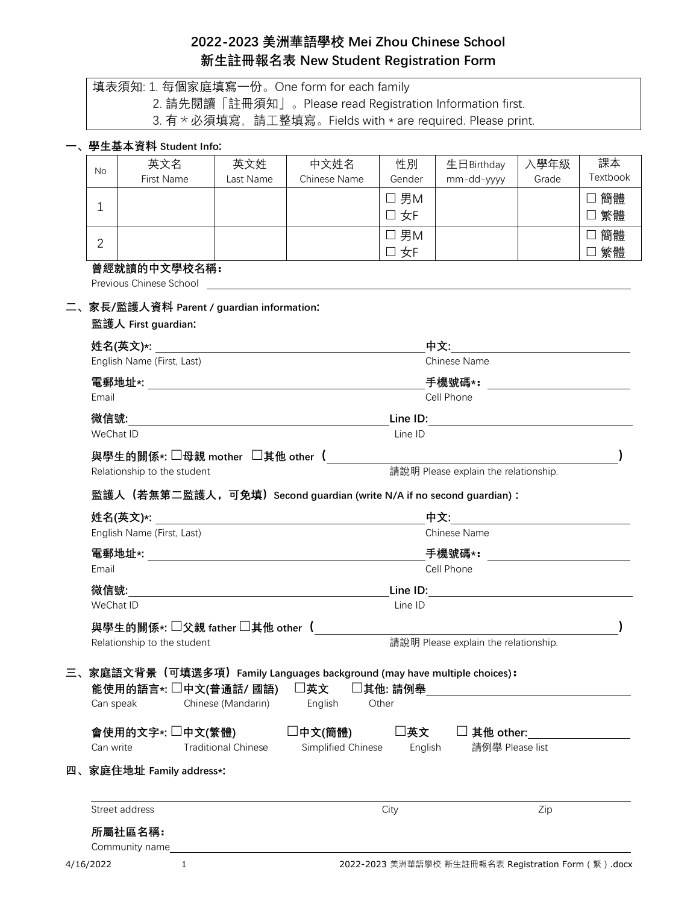# **2022-2023 美洲華語學校 Mei Zhou Chinese School 新生註冊報名表 New Student Registration Form**

|    | 填表須知: 1. 每個家庭填寫一份。One form for each family                          |                                                                                                                                       |           |                                                                                                                           |                      |                     |       |              |  |  |
|----|---------------------------------------------------------------------|---------------------------------------------------------------------------------------------------------------------------------------|-----------|---------------------------------------------------------------------------------------------------------------------------|----------------------|---------------------|-------|--------------|--|--|
|    |                                                                     |                                                                                                                                       |           | 2. 請先閱讀「註冊須知」。Please read Registration Information first.<br>3. 有 * 必須填寫, 請工整填寫。Fields with * are required. Please print. |                      |                     |       |              |  |  |
|    |                                                                     |                                                                                                                                       |           |                                                                                                                           |                      |                     |       |              |  |  |
|    | 、學生基本資料 Student Info:<br>英文名                                        |                                                                                                                                       | 英文姓       | 中文姓名                                                                                                                      | 性別                   | 生日Birthday          | 入學年級  | 課本           |  |  |
|    | <b>No</b><br>First Name                                             |                                                                                                                                       | Last Name | Chinese Name                                                                                                              | Gender               | mm-dd-yyyy          | Grade | Textbook     |  |  |
|    |                                                                     |                                                                                                                                       |           |                                                                                                                           | $\square$ 男M         |                     |       | □ 簡體         |  |  |
|    | $\mathbf 1$                                                         |                                                                                                                                       |           |                                                                                                                           | 口 女F                 |                     |       | □ 繁體         |  |  |
|    | $\overline{2}$                                                      |                                                                                                                                       |           |                                                                                                                           | $\square$ 男M<br>口 女F |                     |       | □ 簡體<br>□ 繁體 |  |  |
|    | 曾經就讀的中文學校名稱:                                                        |                                                                                                                                       |           |                                                                                                                           |                      |                     |       |              |  |  |
|    | Previous Chinese School                                             |                                                                                                                                       |           |                                                                                                                           |                      |                     |       |              |  |  |
|    | 家長/監護人資料 Parent / guardian information:                             |                                                                                                                                       |           |                                                                                                                           |                      |                     |       |              |  |  |
|    | 監護人 First guardian:                                                 |                                                                                                                                       |           |                                                                                                                           |                      |                     |       |              |  |  |
|    | English Name (First, Last)                                          | <b>姓名(英文)*:</b> The contract of the contract of the contract of the contract of the contract of the contract of the c<br>Chinese Name |           |                                                                                                                           |                      |                     |       |              |  |  |
|    |                                                                     |                                                                                                                                       |           |                                                                                                                           |                      |                     |       |              |  |  |
|    | Email                                                               |                                                                                                                                       |           |                                                                                                                           |                      | Cell Phone          |       |              |  |  |
|    |                                                                     |                                                                                                                                       |           |                                                                                                                           |                      |                     |       |              |  |  |
|    | WeChat ID                                                           | Line ID                                                                                                                               |           |                                                                                                                           |                      |                     |       |              |  |  |
|    |                                                                     | 與學生的關係∗: □母親 mother  □其他 other 〔                                                                                                      |           |                                                                                                                           |                      |                     |       |              |  |  |
|    | 請說明 Please explain the relationship.<br>Relationship to the student |                                                                                                                                       |           |                                                                                                                           |                      |                     |       |              |  |  |
|    |                                                                     | 監護人(若無第二監護人,可免填)Second guardian (write N/A if no second guardian):                                                                    |           |                                                                                                                           |                      |                     |       |              |  |  |
|    | 姓名(英文)∗:                                                            |                                                                                                                                       |           | 中文: カランド かんしょう                                                                                                            |                      |                     |       |              |  |  |
|    | English Name (First, Last)                                          |                                                                                                                                       |           | Chinese Name                                                                                                              |                      |                     |       |              |  |  |
|    |                                                                     |                                                                                                                                       |           | 手機號碼* <b>:</b> _______________________                                                                                    |                      |                     |       |              |  |  |
|    | Email                                                               |                                                                                                                                       |           | Cell Phone                                                                                                                |                      |                     |       |              |  |  |
|    | 微信號:                                                                |                                                                                                                                       |           | Line ID:                                                                                                                  |                      |                     |       |              |  |  |
|    | WeChat ID<br>Line ID                                                |                                                                                                                                       |           |                                                                                                                           |                      |                     |       |              |  |  |
|    | 與學生的關係*: □父親 father □其他 other (                                     |                                                                                                                                       |           |                                                                                                                           |                      |                     |       |              |  |  |
|    | Relationship to the student                                         |                                                                                                                                       |           | 請說明 Please explain the relationship.                                                                                      |                      |                     |       |              |  |  |
| 三、 |                                                                     |                                                                                                                                       |           | 家庭語文背景(可填選多項)Family Languages background (may have multiple choices):                                                     |                      |                     |       |              |  |  |
|    | 能使用的語言*: □中文(普通話/ 國語)                                               |                                                                                                                                       |           | □英文                                                                                                                       | □其他: 請例舉             |                     |       |              |  |  |
|    | Can speak                                                           | Chinese (Mandarin)                                                                                                                    |           | English                                                                                                                   | Other                |                     |       |              |  |  |
|    | 會使用的文字∗: □中文(繁體)                                                    |                                                                                                                                       |           | □中文(簡體)                                                                                                                   | □英文                  | $\square$ 其他 other: |       |              |  |  |
|    | Can write                                                           | <b>Traditional Chinese</b>                                                                                                            |           | Simplified Chinese                                                                                                        | English              | 請例舉 Please list     |       |              |  |  |
|    | 四、家庭住地址 Family address*:                                            |                                                                                                                                       |           |                                                                                                                           |                      |                     |       |              |  |  |
|    | Street address                                                      |                                                                                                                                       |           |                                                                                                                           | City                 |                     | Zip   |              |  |  |
|    | 所屬社區名稱:                                                             |                                                                                                                                       |           |                                                                                                                           |                      |                     |       |              |  |  |
|    | Community name                                                      |                                                                                                                                       |           |                                                                                                                           |                      |                     |       |              |  |  |